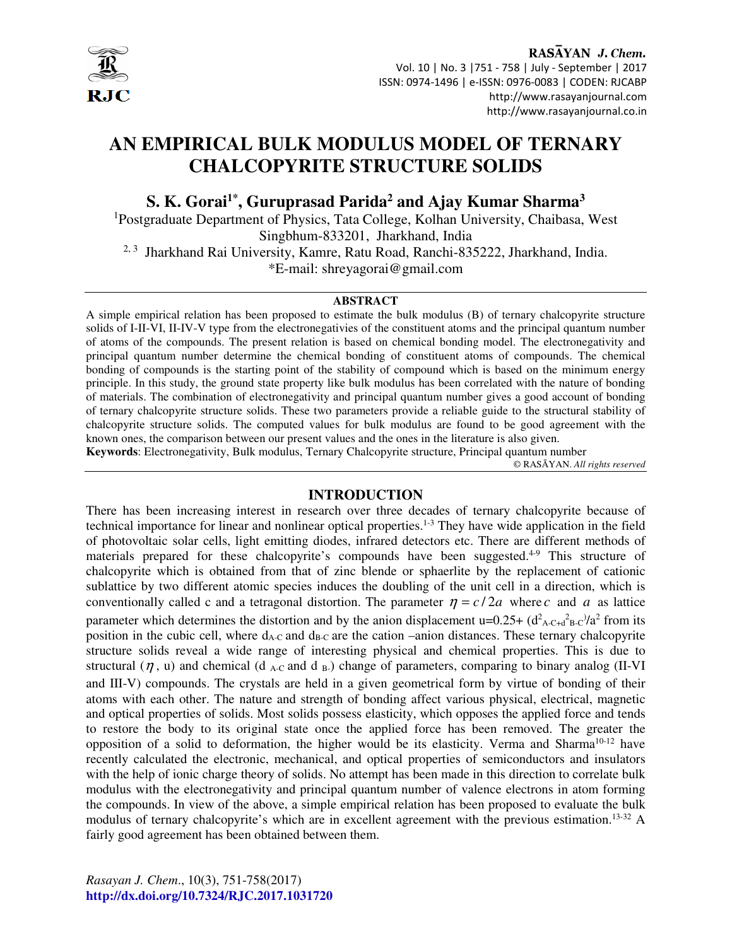

RASAYAN J. Chem. Vol. 10 | No. 3 |751 - 758 | July - September | 2017 ISSN: 0974-1496 | e-ISSN: 0976-0083 | CODEN: RJCABP http://www.rasayanjournal.com http://www.rasayanjournal.co.in

# **AN EMPIRICAL BULK MODULUS MODEL OF TERNARY CHALCOPYRITE STRUCTURE SOLIDS**

**S. K. Gorai1\*, Guruprasad Parida<sup>2</sup> and Ajay Kumar Sharma<sup>3</sup>**

<sup>1</sup>Postgraduate Department of Physics, Tata College, Kolhan University, Chaibasa, West Singbhum-833201, Jharkhand, India <sup>2, 3</sup> Jharkhand Rai University, Kamre, Ratu Road, Ranchi-835222, Jharkhand, India. \*E-mail: shreyagorai@gmail.com

#### **ABSTRACT**

A simple empirical relation has been proposed to estimate the bulk modulus (B) of ternary chalcopyrite structure solids of I-II-VI, II-IV-V type from the electronegativies of the constituent atoms and the principal quantum number of atoms of the compounds. The present relation is based on chemical bonding model. The electronegativity and principal quantum number determine the chemical bonding of constituent atoms of compounds. The chemical bonding of compounds is the starting point of the stability of compound which is based on the minimum energy principle. In this study, the ground state property like bulk modulus has been correlated with the nature of bonding of materials. The combination of electronegativity and principal quantum number gives a good account of bonding of ternary chalcopyrite structure solids. These two parameters provide a reliable guide to the structural stability of chalcopyrite structure solids. The computed values for bulk modulus are found to be good agreement with the known ones, the comparison between our present values and the ones in the literature is also given. **Keywords**: Electronegativity, Bulk modulus, Ternary Chalcopyrite structure, Principal quantum number

© RASĀYAN. *All rights reserved*

## **INTRODUCTION**

There has been increasing interest in research over three decades of ternary chalcopyrite because of technical importance for linear and nonlinear optical properties.1-3 They have wide application in the field of photovoltaic solar cells, light emitting diodes, infrared detectors etc. There are different methods of materials prepared for these chalcopyrite's compounds have been suggested.<sup>4-9</sup> This structure of chalcopyrite which is obtained from that of zinc blende or sphaerlite by the replacement of cationic sublattice by two different atomic species induces the doubling of the unit cell in a direction, which is conventionally called c and a tetragonal distortion. The parameter  $\eta = c/2a$  where *c* and *a* as lattice parameter which determines the distortion and by the anion displacement  $u=0.25+(d^2_{A\text{-}C+d^2_{B\text{-}C}})/a^2$  from its position in the cubic cell, where  $d_{A-C}$  and  $d_{B-C}$  are the cation –anion distances. These ternary chalcopyrite structure solids reveal a wide range of interesting physical and chemical properties. This is due to structural ( $\eta$ , u) and chemical (d <sub>A-C</sub> and d <sub>B-</sub>) change of parameters, comparing to binary analog (II-VI) and III-V) compounds. The crystals are held in a given geometrical form by virtue of bonding of their atoms with each other. The nature and strength of bonding affect various physical, electrical, magnetic and optical properties of solids. Most solids possess elasticity, which opposes the applied force and tends to restore the body to its original state once the applied force has been removed. The greater the opposition of a solid to deformation, the higher would be its elasticity. Verma and Sharma<sup>10-12</sup> have recently calculated the electronic, mechanical, and optical properties of semiconductors and insulators with the help of ionic charge theory of solids. No attempt has been made in this direction to correlate bulk modulus with the electronegativity and principal quantum number of valence electrons in atom forming the compounds. In view of the above, a simple empirical relation has been proposed to evaluate the bulk modulus of ternary chalcopyrite's which are in excellent agreement with the previous estimation.<sup>13-32</sup> A fairly good agreement has been obtained between them.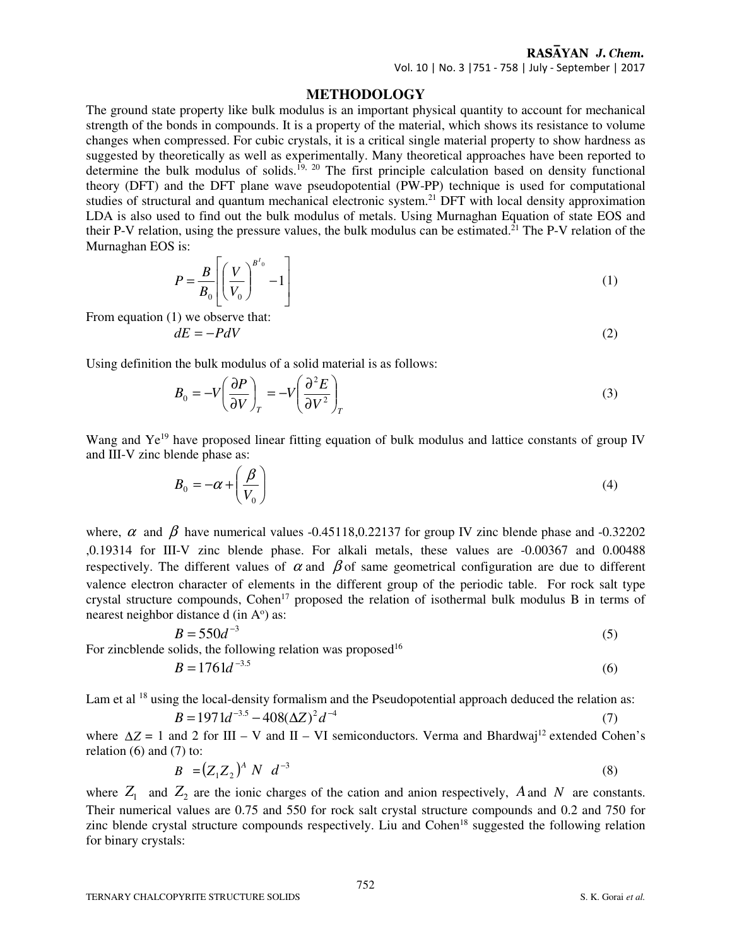## RASAYAN J. Chem.

Vol. 10 | No. 3 |751 - 758 | July - September | 2017

### **METHODOLOGY**

The ground state property like bulk modulus is an important physical quantity to account for mechanical strength of the bonds in compounds. It is a property of the material, which shows its resistance to volume changes when compressed. For cubic crystals, it is a critical single material property to show hardness as suggested by theoretically as well as experimentally. Many theoretical approaches have been reported to determine the bulk modulus of solids.<sup>19, 20</sup> The first principle calculation based on density functional theory (DFT) and the DFT plane wave pseudopotential (PW-PP) technique is used for computational studies of structural and quantum mechanical electronic system.<sup>21</sup> DFT with local density approximation LDA is also used to find out the bulk modulus of metals. Using Murnaghan Equation of state EOS and their P-V relation, using the pressure values, the bulk modulus can be estimated.<sup>21</sup> The P-V relation of the Murnaghan EOS is:

$$
P = \frac{B}{B_0} \left[ \left( \frac{V}{V_0} \right)^{B'_{0}} - 1 \right]
$$
 (1)

From equation (1) we observe that:

$$
dE = -PdV \tag{2}
$$

Using definition the bulk modulus of a solid material is as follows:

$$
B_0 = -V \left(\frac{\partial P}{\partial V}\right)_T = -V \left(\frac{\partial^2 E}{\partial V^2}\right)_T
$$
\n(3)

Wang and Ye<sup>19</sup> have proposed linear fitting equation of bulk modulus and lattice constants of group IV and III-V zinc blende phase as:

$$
B_0 = -\alpha + \left(\frac{\beta}{V_0}\right) \tag{4}
$$

where,  $\alpha$  and  $\beta$  have numerical values -0.45118,0.22137 for group IV zinc blende phase and -0.32202 ,0.19314 for III-V zinc blende phase. For alkali metals, these values are -0.00367 and 0.00488 respectively. The different values of  $\alpha$  and  $\beta$  of same geometrical configuration are due to different valence electron character of elements in the different group of the periodic table. For rock salt type crystal structure compounds, Cohen<sup>17</sup> proposed the relation of isothermal bulk modulus B in terms of nearest neighbor distance  $d$  (in  $A^{\circ}$ ) as:

$$
B = 550d^{-3}
$$
 (5)

For zincblende solids, the following relation was proposed<sup>16</sup>

$$
B = 1761d^{-3.5}
$$
 (6)

Lam et al <sup>18</sup> using the local-density formalism and the Pseudopotential approach deduced the relation as:

$$
B = 1971d^{-3.5} - 408(\Delta Z)^2 d^{-4}
$$
 (7)

where  $\Delta Z = 1$  and 2 for III – V and II – VI semiconductors. Verma and Bhardwai<sup>12</sup> extended Cohen's relation  $(6)$  and  $(7)$  to:

$$
B = (Z_1 Z_2)^A N d^{-3}
$$
 (8)

where  $Z_1$  and  $Z_2$  are the ionic charges of the cation and anion respectively, *A* and *N* are constants. Their numerical values are 0.75 and 550 for rock salt crystal structure compounds and 0.2 and 750 for zinc blende crystal structure compounds respectively. Liu and Cohen<sup>18</sup> suggested the following relation for binary crystals: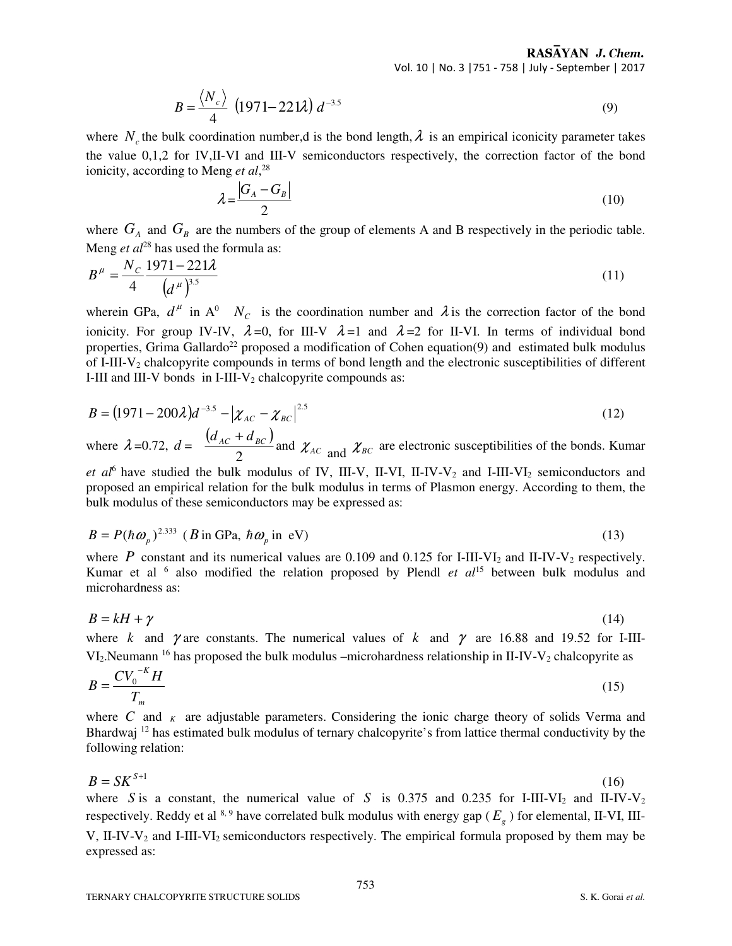RASAYAN J. Chem. Vol. 10 | No. 3 |751 - 758 | July - September | 2017

$$
B = \frac{\langle N_c \rangle}{4} \left( 1971 - 221 \lambda \right) d^{-3.5}
$$
 (9)

where  $N_c$  the bulk coordination number,d is the bond length,  $\lambda$  is an empirical iconicity parameter takes the value 0,1,2 for IV,II-VI and III-V semiconductors respectively, the correction factor of the bond ionicity, according to Meng *et al*, 28

$$
\lambda = \frac{|G_A - G_B|}{2} \tag{10}
$$

where  $G_A$  and  $G_B$  are the numbers of the group of elements A and B respectively in the periodic table. Meng *et al*<sup>28</sup> has used the formula as:

$$
B^{\mu} = \frac{N_c}{4} \frac{1971 - 221\lambda}{\left(d^{\mu}\right)^{3.5}}
$$
 (11)

wherein GPa,  $d^{\mu}$  in A<sup>0</sup>  $N_c$  is the coordination number and  $\lambda$  is the correction factor of the bond ionicity. For group IV-IV,  $\lambda = 0$ , for III-V  $\lambda = 1$  and  $\lambda = 2$  for II-VI. In terms of individual bond properties, Grima Gallardo<sup>22</sup> proposed a modification of Cohen equation(9) and estimated bulk modulus of I-III-V2 chalcopyrite compounds in terms of bond length and the electronic susceptibilities of different I-III and III-V bonds in I-III-V<sub>2</sub> chalcopyrite compounds as:

$$
B = (1971 - 200\lambda)d^{-3.5} - |\chi_{AC} - \chi_{BC}|^{2.5}
$$
 (12)

where  $\lambda = 0.72$ ,  $d = \frac{(d_{AC} + d_{BC})}{2}$ 2  $d_{AC} + d_{BC}$ and  $\chi_{AC}$  and  $\chi_{BC}$  are electronic susceptibilities of the bonds. Kumar

et al<sup>6</sup> have studied the bulk modulus of IV, III-V, II-VI, II-IV-V<sub>2</sub> and I-III-VI<sub>2</sub> semiconductors and proposed an empirical relation for the bulk modulus in terms of Plasmon energy. According to them, the bulk modulus of these semiconductors may be expressed as:

$$
B = P(\hbar \omega_p)^{2.333} \ (B \text{ in GPa, } \hbar \omega_p \text{ in eV}) \tag{13}
$$

where *P* constant and its numerical values are 0.109 and 0.125 for I-III-VI<sub>2</sub> and II-IV-V<sub>2</sub> respectively. Kumar et al <sup>6</sup> also modified the relation proposed by Plendl *et al*<sup>15</sup> between bulk modulus and microhardness as:

$$
B = kH + \gamma \tag{14}
$$

where *k* and  $\gamma$  are constants. The numerical values of *k* and  $\gamma$  are 16.88 and 19.52 for I-III- $VI_2$ . Neumann <sup>16</sup> has proposed the bulk modulus –microhardness relationship in II-IV-V<sub>2</sub> chalcopyrite as

$$
B = \frac{CV_0^{-K}H}{T_m} \tag{15}
$$

where  $C$  and  $K$  are adjustable parameters. Considering the ionic charge theory of solids Verma and Bhardwaj <sup>12</sup> has estimated bulk modulus of ternary chalcopyrite's from lattice thermal conductivity by the following relation:

$$
B = SK^{S+1} \tag{16}
$$

where *S* is a constant, the numerical value of *S* is 0.375 and 0.235 for I-III-VI<sub>2</sub> and II-IV-V<sub>2</sub> respectively. Reddy et al  $8.9$  have correlated bulk modulus with energy gap ( $E_g$ ) for elemental, II-VI, III-V, II-IV-V<sub>2</sub> and I-III-VI<sub>2</sub> semiconductors respectively. The empirical formula proposed by them may be expressed as: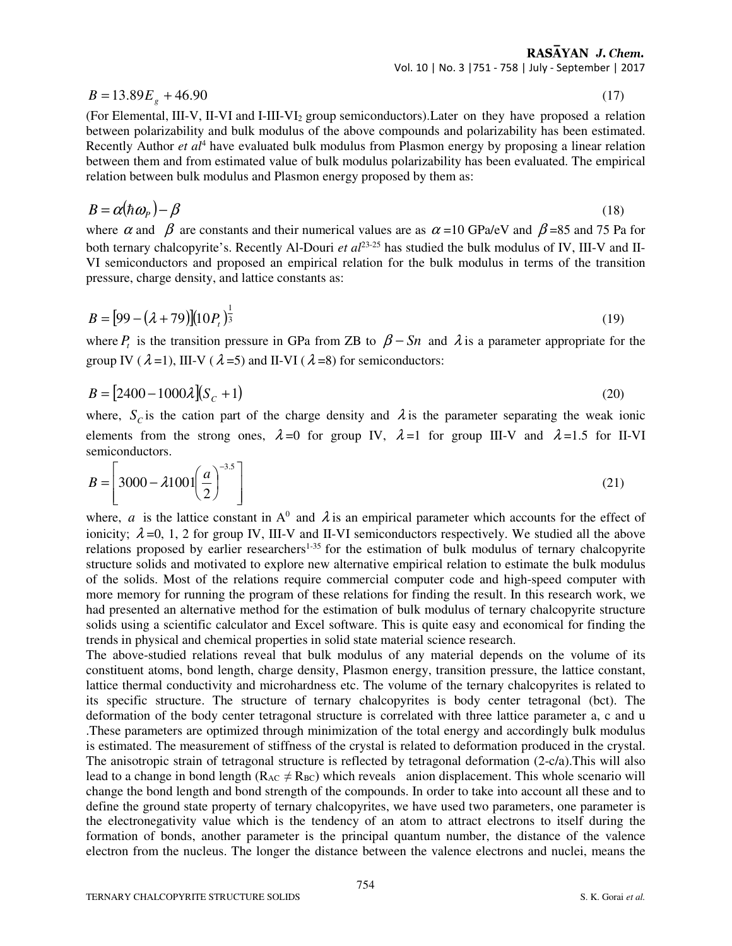RASAYAN J. Chem.

(17)

Vol. 10 | No. 3 |751 - 758 | July - September | 2017

$$
B = 13.89E_g + 46.90
$$

(For Elemental, III-V, II-VI and I-III-VI2 group semiconductors). Later on they have proposed a relation between polarizability and bulk modulus of the above compounds and polarizability has been estimated. Recently Author *et al*<sup>4</sup> have evaluated bulk modulus from Plasmon energy by proposing a linear relation between them and from estimated value of bulk modulus polarizability has been evaluated. The empirical relation between bulk modulus and Plasmon energy proposed by them as:

$$
B = \alpha(\hbar \omega_p) - \beta \tag{18}
$$

where  $\alpha$  and  $\beta$  are constants and their numerical values are as  $\alpha$  =10 GPa/eV and  $\beta$ =85 and 75 Pa for both ternary chalcopyrite's. Recently Al-Douri *et al*23-25 has studied the bulk modulus of IV, III-V and II-VI semiconductors and proposed an empirical relation for the bulk modulus in terms of the transition pressure, charge density, and lattice constants as:

$$
B = [99 - (\lambda + 79)][10P_t)^{\frac{1}{3}} \tag{19}
$$

where  $P_t$  is the transition pressure in GPa from ZB to  $\beta - Sn$  and  $\lambda$  is a parameter appropriate for the group IV ( $\lambda$ =1), III-V ( $\lambda$ =5) and II-VI ( $\lambda$ =8) for semiconductors:

$$
B = [2400 - 1000\lambda](S_C + 1)
$$
\n(20)

where,  $S_c$  is the cation part of the charge density and  $\lambda$  is the parameter separating the weak ionic elements from the strong ones,  $\lambda = 0$  for group IV,  $\lambda = 1$  for group III-V and  $\lambda = 1.5$  for II-VI semiconductors.

$$
B = \left[3000 - \lambda 1001 \left(\frac{a}{2}\right)^{-3.5}\right]
$$
\n
$$
(21)
$$

where, *a* is the lattice constant in  $A^0$  and  $\lambda$  is an empirical parameter which accounts for the effect of ionicity;  $\lambda = 0$ , 1, 2 for group IV, III-V and II-VI semiconductors respectively. We studied all the above relations proposed by earlier researchers<sup>1-35</sup> for the estimation of bulk modulus of ternary chalcopyrite structure solids and motivated to explore new alternative empirical relation to estimate the bulk modulus of the solids. Most of the relations require commercial computer code and high-speed computer with more memory for running the program of these relations for finding the result. In this research work, we had presented an alternative method for the estimation of bulk modulus of ternary chalcopyrite structure solids using a scientific calculator and Excel software. This is quite easy and economical for finding the trends in physical and chemical properties in solid state material science research.

The above-studied relations reveal that bulk modulus of any material depends on the volume of its constituent atoms, bond length, charge density, Plasmon energy, transition pressure, the lattice constant, lattice thermal conductivity and microhardness etc. The volume of the ternary chalcopyrites is related to its specific structure. The structure of ternary chalcopyrites is body center tetragonal (bct). The deformation of the body center tetragonal structure is correlated with three lattice parameter a, c and u .These parameters are optimized through minimization of the total energy and accordingly bulk modulus is estimated. The measurement of stiffness of the crystal is related to deformation produced in the crystal. The anisotropic strain of tetragonal structure is reflected by tetragonal deformation (2-c/a).This will also lead to a change in bond length ( $R_{AC} \neq R_{BC}$ ) which reveals anion displacement. This whole scenario will change the bond length and bond strength of the compounds. In order to take into account all these and to define the ground state property of ternary chalcopyrites, we have used two parameters, one parameter is the electronegativity value which is the tendency of an atom to attract electrons to itself during the formation of bonds, another parameter is the principal quantum number, the distance of the valence electron from the nucleus. The longer the distance between the valence electrons and nuclei, means the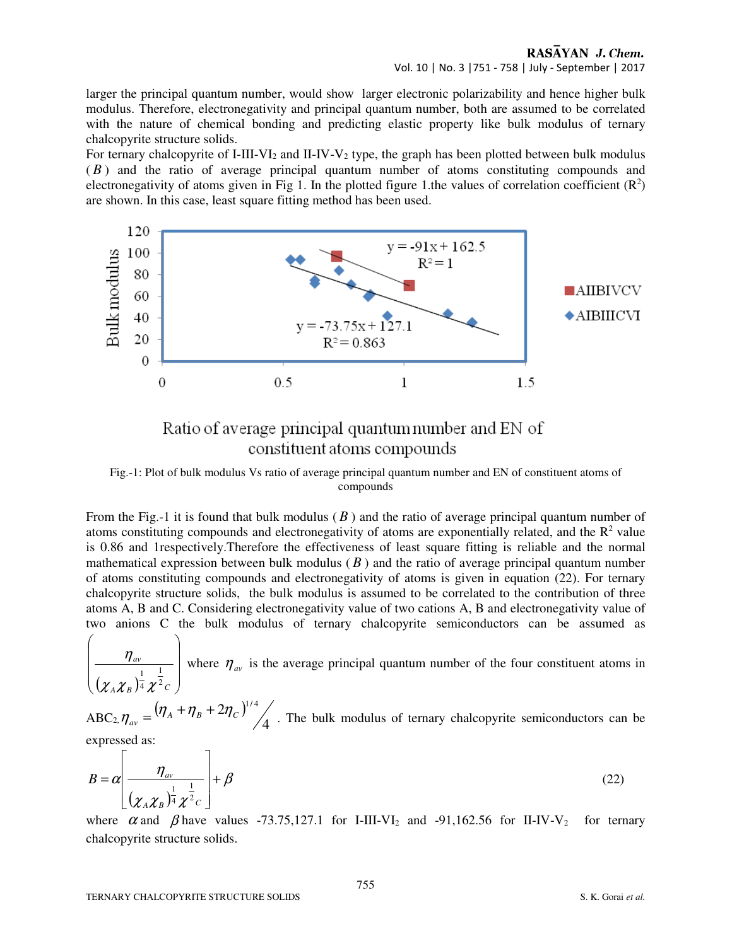## RASAYAN J. Chem. Vol. 10 | No. 3 |751 - 758 | July - September | 2017

larger the principal quantum number, would show larger electronic polarizability and hence higher bulk modulus. Therefore, electronegativity and principal quantum number, both are assumed to be correlated with the nature of chemical bonding and predicting elastic property like bulk modulus of ternary chalcopyrite structure solids.

For ternary chalcopyrite of I-III-VI<sub>2</sub> and II-IV-V<sub>2</sub> type, the graph has been plotted between bulk modulus ( *B* ) and the ratio of average principal quantum number of atoms constituting compounds and electronegativity of atoms given in Fig 1. In the plotted figure 1.the values of correlation coefficient  $(R^2)$ are shown. In this case, least square fitting method has been used.



## Ratio of average principal quantum number and EN of constituent atoms compounds

Fig.-1: Plot of bulk modulus Vs ratio of average principal quantum number and EN of constituent atoms of compounds

From the Fig.-1 it is found that bulk modulus ( *B* ) and the ratio of average principal quantum number of atoms constituting compounds and electronegativity of atoms are exponentially related, and the  $R<sup>2</sup>$  value is 0.86 and 1respectively.Therefore the effectiveness of least square fitting is reliable and the normal mathematical expression between bulk modulus  $(B)$  and the ratio of average principal quantum number of atoms constituting compounds and electronegativity of atoms is given in equation (22). For ternary chalcopyrite structure solids, the bulk modulus is assumed to be correlated to the contribution of three atoms A, B and C. Considering electronegativity value of two cations A, B and electronegativity value of two anions C the bulk modulus of ternary chalcopyrite semiconductors can be assumed as

 $(\chi_{_A}{\chi_{_B}})^{1\over 4} \chi^{1\over 2}{}_C \; \Big)$  $\overline{\phantom{a}}$  $\overline{\phantom{a}}$ J  $\backslash$ L  $\mathbf{r}$  $\mathbf{r}$ l ſ  $_{A}$   $\chi$ <sub>*B*</sub>  $)$ <sup>4</sup>  $\chi$ <sup>-</sup>  $c$ </sup> *av* 2 1 4 1  $\chi$   $_{\rm A}$   $\chi$   $_{\rm B}$  ) 4  $\chi$  $\frac{\eta_{av}}{1-\frac{1}{2}}$  where  $\eta_{av}$  is the average principal quantum number of the four constituent atoms in

 $ABC_{2,} \eta_{av} = (\eta_A + \eta_B + 2\eta_C)^{\frac{1}{2}}$ 4  $(2\eta_{_C})^{^{1/4}}$  $\mu_{av} = \frac{V}{A} + V}{B} + \frac{2V}{C}$  $n_{av} = (\eta_A + \eta_B + 2\eta_C)^{1/4}$ . The bulk modulus of ternary chalcopyrite semiconductors can be expressed as:

$$
B = \alpha \left[ \frac{\eta_{\scriptscriptstyle av}}{(\chi_A \chi_B)^{\frac{1}{4}} \chi^{\frac{1}{2}} c} \right] + \beta \tag{22}
$$

where  $\alpha$  and  $\beta$  have values -73.75,127.1 for I-III-VI<sub>2</sub> and -91,162.56 for II-IV-V<sub>2</sub> for ternary chalcopyrite structure solids.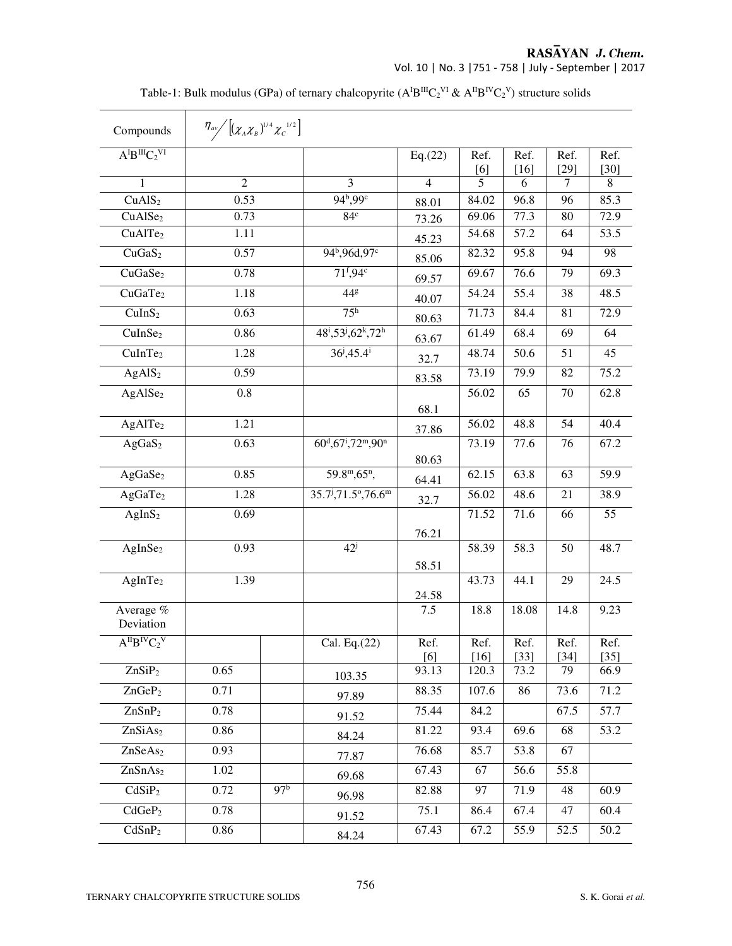**RASAYAN J. Chem.**<br>Vol. 10 | No. 3 | 751 - 758 | July - September | 2017

| Compounds                | $\eta_{\alpha\nu}$ $\left[ (\chi_A \chi_B)^{1/4} \chi_C^{-1/2} \right]$ |                 |                                                                    |                |                    |                |                |                |
|--------------------------|-------------------------------------------------------------------------|-----------------|--------------------------------------------------------------------|----------------|--------------------|----------------|----------------|----------------|
| $A^{I}B^{III}C_{2}^{VI}$ |                                                                         |                 |                                                                    | Eq.(22)        | Ref.<br>[6]        | Ref.<br>$[16]$ | Ref.<br>$[29]$ | Ref.<br>$[30]$ |
| 1                        | $\overline{2}$                                                          |                 | $\overline{3}$                                                     | $\overline{4}$ | 5                  | 6              | $\tau$         | 8              |
| CuAlS <sub>2</sub>       | 0.53                                                                    |                 | $94^{b}$ , $99^{c}$                                                | 88.01          | 84.02              | 96.8           | 96             | 85.3           |
| CuAlSe <sub>2</sub>      | 0.73                                                                    |                 | 84 <sup>c</sup>                                                    | 73.26          | 69.06              | 77.3           | 80             | 72.9           |
| CuAlTe <sub>2</sub>      | 1.11                                                                    |                 |                                                                    | 45.23          | 54.68              | 57.2           | 64             | 53.5           |
| CuGaS <sub>2</sub>       | 0.57                                                                    |                 | 94 <sup>b</sup> ,96d,97 <sup>c</sup>                               | 85.06          | $\overline{82.32}$ | 95.8           | 94             | 98             |
| CuGaSe <sub>2</sub>      | 0.78                                                                    |                 | 71 <sup>f</sup> ,94 <sup>c</sup>                                   | 69.57          | 69.67              | 76.6           | 79             | 69.3           |
| CuGaTe <sub>2</sub>      | 1.18                                                                    |                 | 44g                                                                | 40.07          | 54.24              | 55.4           | 38             | 48.5           |
| CuInS <sub>2</sub>       | 0.63                                                                    |                 | 75 <sup>h</sup>                                                    | 80.63          | 71.73              | 84.4           | 81             | 72.9           |
| CuInSe <sub>2</sub>      | 0.86                                                                    |                 | $48^i, 53^j, 62^k, 72^h$                                           | 63.67          | 61.49              | 68.4           | 69             | 64             |
| CuInTe <sub>2</sub>      | 1.28                                                                    |                 | $36^{j}$ , 45.4 <sup>i</sup>                                       | 32.7           | 48.74              | 50.6           | 51             | 45             |
| AgAlS <sub>2</sub>       | 0.59                                                                    |                 |                                                                    | 83.58          | 73.19              | 79.9           | 82             | 75.2           |
| AgAlSe <sub>2</sub>      | 0.8                                                                     |                 |                                                                    |                | 56.02              | 65             | 70             | 62.8           |
|                          |                                                                         |                 |                                                                    | 68.1           |                    |                |                |                |
| AgAlTe <sub>2</sub>      | 1.21                                                                    |                 |                                                                    | 37.86          | 56.02              | 48.8           | 54             | 40.4           |
| AgGaS <sub>2</sub>       | 0.63                                                                    |                 | $60^{\rm d}$ , 67 <sup>i</sup> , 72 <sup>m</sup> , 90 <sup>n</sup> |                | 73.19              | 77.6           | 76             | 67.2           |
|                          |                                                                         |                 |                                                                    | 80.63          |                    |                |                |                |
| AgGaSe <sub>2</sub>      | 0.85                                                                    |                 | 59.8 <sup>m</sup> , 65 <sup>n</sup> ,                              | 64.41          | 62.15              | 63.8           | 63             | 59.9           |
| AgGaTe <sub>2</sub>      | 1.28                                                                    |                 | $35.7^{\text{j}}$ , $71.5^{\circ}$ , $76.6^{\text{m}}$             | 32.7           | 56.02              | 48.6           | 21             | 38.9           |
| AgInS <sub>2</sub>       | 0.69                                                                    |                 |                                                                    |                | 71.52              | 71.6           | 66             | 55             |
|                          |                                                                         |                 |                                                                    | 76.21          |                    |                |                |                |
| AgInSe <sub>2</sub>      | 0.93                                                                    |                 | $42^{\mathrm{j}}$                                                  |                | 58.39              | 58.3           | 50             | 48.7           |
| AgInTe <sub>2</sub>      | 1.39                                                                    |                 |                                                                    | 58.51          | 43.73              | 44.1           | 29             | 24.5           |
|                          |                                                                         |                 |                                                                    | 24.58          |                    |                |                |                |
| Average %<br>Deviation   |                                                                         |                 |                                                                    | 7.5            | 18.8               | 18.08          | 14.8           | 9.23           |
| $A^{II}B^{IV}C_2V$       |                                                                         |                 | Cal. Eq.(22)                                                       | Ref.           | Ref.               | Ref.           | Ref.           | Ref.           |
|                          |                                                                         |                 |                                                                    | [6]            | $[16]$             | $[33]$         | $[34]$         | $[35]$         |
| ZnSiP <sub>2</sub>       | 0.65                                                                    |                 | 103.35                                                             | 93.13          | 120.3              | 73.2           | 79             | 66.9           |
| $ZnGeP_2$                | 0.71                                                                    |                 | 97.89                                                              | 88.35          | 107.6              | 86             | 73.6           | 71.2           |
| ZnSnP <sub>2</sub>       | 0.78                                                                    |                 | 91.52                                                              | 75.44          | 84.2               |                | 67.5           | 57.7           |
| ZnSiAs <sub>2</sub>      | 0.86                                                                    |                 | 84.24                                                              | 81.22          | 93.4               | 69.6           | 68             | 53.2           |
| ZnSeAs <sub>2</sub>      | 0.93                                                                    |                 | 77.87                                                              | 76.68          | 85.7               | 53.8           | 67             |                |
| ZnSnAs <sub>2</sub>      | 1.02                                                                    |                 | 69.68                                                              | 67.43          | 67                 | 56.6           | 55.8           |                |
| CdSiP <sub>2</sub>       | 0.72                                                                    | 97 <sup>b</sup> | 96.98                                                              | 82.88          | 97                 | 71.9           | 48             | 60.9           |
| CdGeP <sub>2</sub>       | 0.78                                                                    |                 | 91.52                                                              | 75.1           | 86.4               | 67.4           | 47             | 60.4           |
| CdSnP <sub>2</sub>       | 0.86                                                                    |                 | 84.24                                                              | 67.43          | 67.2               | 55.9           | 52.5           | 50.2           |

Table-1: Bulk modulus (GPa) of ternary chalcopyrite  $(A^{I}B^{III}C_2^{VI} \& A^{II}B^{IV}C_2^{V})$  structure solids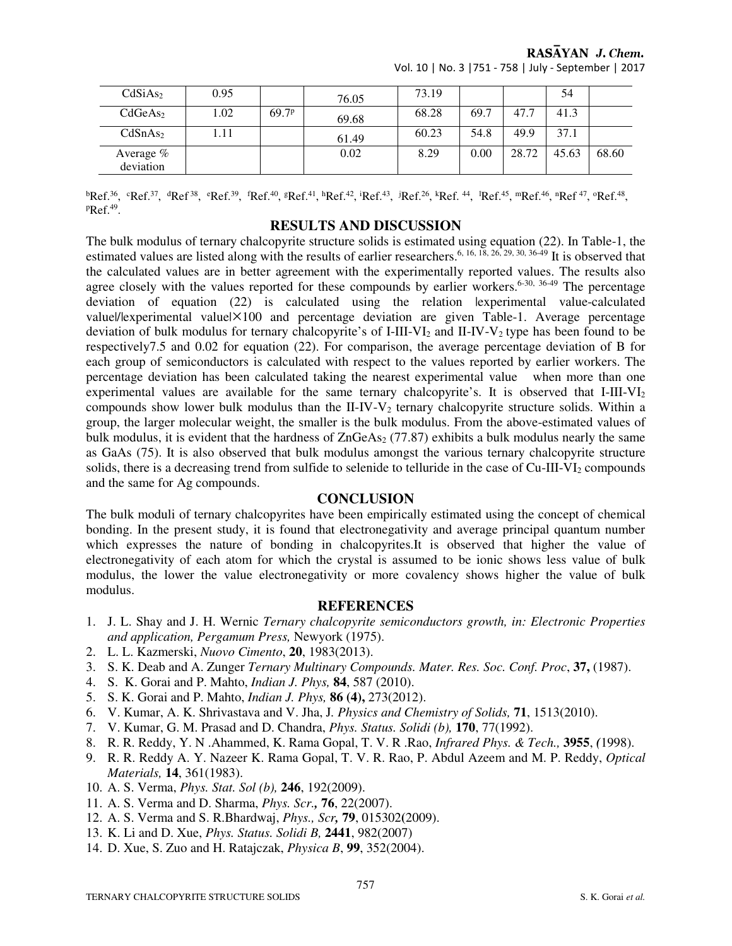RASAYAN J. Chem.

| CdSiAs <sub>2</sub>    | 0.95 |                   | 76.05 | 73.19 |      |       | 54    |       |
|------------------------|------|-------------------|-------|-------|------|-------|-------|-------|
| CdGeAs <sub>2</sub>    | 1.02 | 69.7 <sup>p</sup> | 69.68 | 68.28 | 69.7 | 47.7  | 41.3  |       |
| CdSnAs <sub>2</sub>    | .11  |                   | 61.49 | 60.23 | 54.8 | 49.9  | 37.1  |       |
| Average %<br>deviation |      |                   | 0.02  | 8.29  | 0.00 | 28.72 | 45.63 | 68.60 |

Vol. 10 | No. 3 |751 - 758 | July - September | 2017

 ${}^{b}$ Ref.<sup>36</sup>,  ${}^{c}$ Ref.<sup>37</sup>,  ${}^{d}$ Ref<sup>38</sup>,  ${}^{e}$ Ref.<sup>49</sup>,  ${}^{f}$ Ref.<sup>41</sup>,  ${}^{b}$ Ref.<sup>42</sup>,  ${}^{i}$ Ref.<sup>43</sup>,  ${}^{j}$ Ref.<sup>45</sup>,  ${}^{k}$ Ref.<sup>45</sup>,  ${}^{m}$ Ref.<sup>46</sup>,  ${}^{n}$ Ref.<sup>47</sup>,  ${}^{o}$ Ref.<sup>48</sup>, <sup>p</sup>Ref.<sup>49</sup> .

## **RESULTS AND DISCUSSION**

The bulk modulus of ternary chalcopyrite structure solids is estimated using equation (22). In Table-1, the estimated values are listed along with the results of earlier researchers.<sup>6, 16, 18, 26, 29, 30, 36-49</sup> It is observed that the calculated values are in better agreement with the experimentally reported values. The results also agree closely with the values reported for these compounds by earlier workers.<sup>6-30, 36-49</sup> The percentage deviation of equation (22) is calculated using the relation |experimental value-calculated value|/|experimental value| $\times$ 100 and percentage deviation are given Table-1. Average percentage deviation of bulk modulus for ternary chalcopyrite's of I-III-VI<sub>2</sub> and II-IV-V<sub>2</sub> type has been found to be respectively7.5 and 0.02 for equation (22). For comparison, the average percentage deviation of B for each group of semiconductors is calculated with respect to the values reported by earlier workers. The percentage deviation has been calculated taking the nearest experimental value when more than one experimental values are available for the same ternary chalcopyrite's. It is observed that  $I-III-VI<sub>2</sub>$ compounds show lower bulk modulus than the II-IV-V<sub>2</sub> ternary chalcopyrite structure solids. Within a group, the larger molecular weight, the smaller is the bulk modulus. From the above-estimated values of bulk modulus, it is evident that the hardness of  $ZnGeAs<sub>2</sub>$  (77.87) exhibits a bulk modulus nearly the same as GaAs (75). It is also observed that bulk modulus amongst the various ternary chalcopyrite structure solids, there is a decreasing trend from sulfide to selenide to telluride in the case of  $Cu-III-VI<sub>2</sub>$  compounds and the same for Ag compounds.

## **CONCLUSION**

The bulk moduli of ternary chalcopyrites have been empirically estimated using the concept of chemical bonding. In the present study, it is found that electronegativity and average principal quantum number which expresses the nature of bonding in chalcopyrites.It is observed that higher the value of electronegativity of each atom for which the crystal is assumed to be ionic shows less value of bulk modulus, the lower the value electronegativity or more covalency shows higher the value of bulk modulus.

## **REFERENCES**

- 1. J. L. Shay and J. H. Wernic *Ternary chalcopyrite semiconductors growth, in: Electronic Properties and application, Pergamum Press,* Newyork (1975).
- 2. L. L. Kazmerski, *Nuovo Cimento*, **20**, 1983(2013).
- 3. S. K. Deab and A. Zunger *Ternary Multinary Compounds. Mater. Res. Soc. Conf. Proc*, **37,** (1987).
- 4. S. K. Gorai and P. Mahto, *Indian J. Phys,* **84**, 587 (2010).
- 5. S. K. Gorai and P. Mahto, *Indian J. Phys,* **86 (4),** 273(2012).
- 6. V. Kumar, A. K. Shrivastava and V. Jha, J*. Physics and Chemistry of Solids,* **71**, 1513(2010).
- 7. V. Kumar, G. M. Prasad and D. Chandra, *Phys. Status. Solidi (b),* **170**, 77(1992).
- 8. R. R. Reddy, Y. N .Ahammed, K. Rama Gopal, T. V. R .Rao, *Infrared Phys. & Tech.,* **3955**, *(*1998).
- 9. R. R. Reddy A. Y. Nazeer K. Rama Gopal, T. V. R. Rao, P. Abdul Azeem and M. P. Reddy, *Optical Materials,* **14**, 361(1983).
- 10. A. S. Verma, *Phys. Stat. Sol (b),* **246**, 192(2009).
- 11. A. S. Verma and D. Sharma, *Phys. Scr.,* **76**, 22(2007).
- 12. A. S. Verma and S. R.Bhardwaj, *Phys., Scr,* **79**, 015302**(**2009).
- 13. K. Li and D. Xue, *Phys. Status. Solidi B,* **2441**, 982(2007)
- 14. D. Xue, S. Zuo and H. Ratajczak, *Physica B*, **99**, 352(2004).